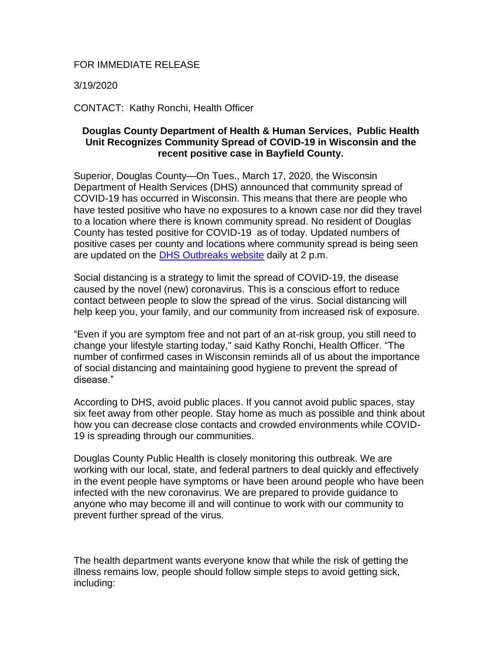## FOR IMMEDIATE RELEASE

3/19/2020

CONTACT: Kathy Ronchi, Health Officer

## **Douglas County Department of Health & Human Services, Public Health Unit Recognizes Community Spread of COVID-19 in Wisconsin and the recent positive case in Bayfield County.**

Superior, Douglas County—On Tues., March 17, 2020, the Wisconsin Department of Health Services (DHS) announced that community spread of COVID-19 has occurred in Wisconsin. This means that there are people who have tested positive who have no exposures to a known case nor did they travel to a location where there is known community spread. No resident of Douglas County has tested positive for COVID-19 as of today. Updated numbers of positive cases per county and locations where community spread is being seen are updated on the [DHS Outbreaks website](https://www.dhs.wisconsin.gov/outbreaks/index.htm) daily at 2 p.m.

Social distancing is a strategy to limit the spread of COVID-19, the disease caused by the novel (new) coronavirus. This is a conscious effort to reduce contact between people to slow the spread of the virus. Social distancing will help keep you, your family, and our community from increased risk of exposure.

"Even if you are symptom free and not part of an at-risk group, you still need to change your lifestyle starting today," said Kathy Ronchi, Health Officer. "The number of confirmed cases in Wisconsin reminds all of us about the importance of social distancing and maintaining good hygiene to prevent the spread of disease."

According to DHS, avoid public places. If you cannot avoid public spaces, stay six feet away from other people. Stay home as much as possible and think about how you can decrease close contacts and crowded environments while COVID-19 is spreading through our communities.

Douglas County Public Health is closely monitoring this outbreak. We are working with our local, state, and federal partners to deal quickly and effectively in the event people have symptoms or have been around people who have been infected with the new coronavirus. We are prepared to provide guidance to anyone who may become ill and will continue to work with our community to prevent further spread of the virus.

The health department wants everyone know that while the risk of getting the illness remains low, people should follow simple steps to avoid getting sick, including: